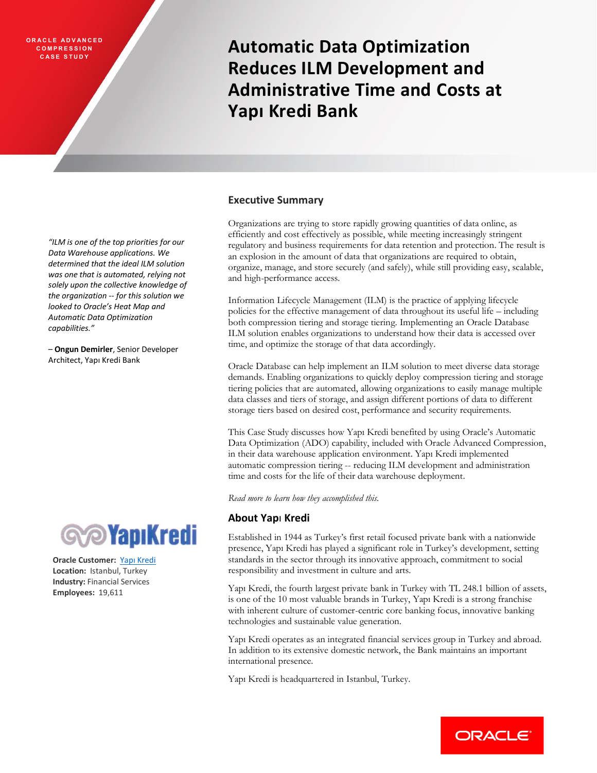**ORACLE ADVANCED C O M P R E S S I O N C A S E S T U D Y**

**Automatic Data Optimization Reduces ILM Development and Administrative Time and Costs at Yapı Kredi Bank**

### **Executive Summary**

Organizations are trying to store rapidly growing quantities of data online, as efficiently and cost effectively as possible, while meeting increasingly stringent regulatory and business requirements for data retention and protection. The result is an explosion in the amount of data that organizations are required to obtain, organize, manage, and store securely (and safely), while still providing easy, scalable, and high-performance access.

Information Lifecycle Management (ILM) is the practice of applying lifecycle policies for the effective management of data throughout its useful life – including both compression tiering and storage tiering. Implementing an Oracle Database ILM solution enables organizations to understand how their data is accessed over time, and optimize the storage of that data accordingly.

Oracle Database can help implement an ILM solution to meet diverse data storage demands. Enabling organizations to quickly deploy compression tiering and storage tiering policies that are automated, allowing organizations to easily manage multiple data classes and tiers of storage, and assign different portions of data to different storage tiers based on desired cost, performance and security requirements.

This Case Study discusses how Yapı Kredi benefited by using Oracle's Automatic Data Optimization (ADO) capability, included with Oracle Advanced Compression, in their data warehouse application environment. Yapı Kredi implemented automatic compression tiering -- reducing ILM development and administration time and costs for the life of their data warehouse deployment.

*Read more to learn how they accomplished this.*

# **About Yap**ı **Kredi**

Established in 1944 as Turkey's first retail focused private bank with a nationwide presence, Yapı Kredi has played a significant role in Turkey's development, setting standards in the sector through its innovative approach, commitment to social responsibility and investment in culture and arts.

Yapı Kredi, the fourth largest private bank in Turkey with TL 248.1 billion of assets, is one of the 10 most valuable brands in Turkey, Yapı Kredi is a strong franchise with inherent culture of customer-centric core banking focus, innovative banking technologies and sustainable value generation.

Yapı Kredi operates as an integrated financial services group in Turkey and abroad. In addition to its extensive domestic network, the Bank maintains an important international presence.

Yapı Kredi is headquartered in Istanbul, Turkey.

*"ILM is one of the top priorities for our Data Warehouse applications. We determined that the ideal ILM solution was one that is automated, relying not solely upon the collective knowledge of the organization -- for this solution we looked to Oracle's Heat Map and Automatic Data Optimization capabilities."*

– **Ongun Demirler**, Senior Developer Architect, Yapı Kredi Bank



**Oracle Customer:** [Yapı Kredi](http://www.yapikredi.com.tr/) **Location:** Istanbul, Turkey **Industry:** Financial Services **Employees:** 19,611

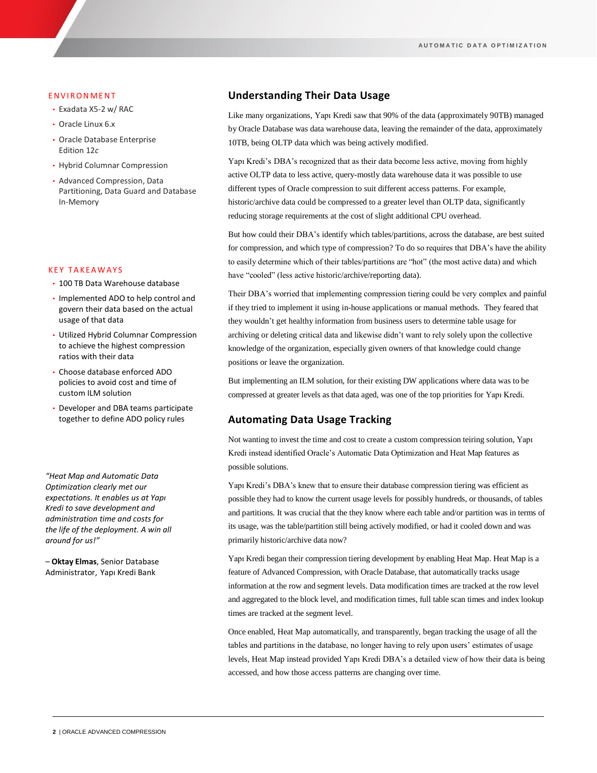#### **ENVIRONMENT**

- Exadata X5-2 w/ RAC
- Oracle Linux 6.x
- Oracle Database Enterprise Edition 12*c*
- Hybrid Columnar Compression
- Advanced Compression, Data Partitioning, Data Guard and Database In-Memory

#### **KEY TAKEAWAYS**

- 100 TB Data Warehouse database
- Implemented ADO to help control and govern their data based on the actual usage of that data
- Utilized Hybrid Columnar Compression to achieve the highest compression ratios with their data
- Choose database enforced ADO policies to avoid cost and time of custom ILM solution
- Developer and DBA teams participate together to define ADO policy rules

*"Heat Map and Automatic Data Optimization clearly met our expectations. It enables us at Yapı Kredi to save development and administration time and costs for the life of the deployment. A win all around for us!"* 

– **Oktay Elmas**, Senior Database Administrator, Yapı Kredi Bank

## **Understanding Their Data Usage**

Like many organizations, Yapı Kredi saw that 90% of the data (approximately 90TB) managed by Oracle Database was data warehouse data, leaving the remainder of the data, approximately 10TB, being OLTP data which was being actively modified.

Yapı Kredi's DBA's recognized that as their data become less active, moving from highly active OLTP data to less active, query-mostly data warehouse data it was possible to use different types of Oracle compression to suit different access patterns. For example, historic/archive data could be compressed to a greater level than OLTP data, significantly reducing storage requirements at the cost of slight additional CPU overhead.

But how could their DBA's identify which tables/partitions, across the database, are best suited for compression, and which type of compression? To do so requires that DBA's have the ability to easily determine which of their tables/partitions are "hot" (the most active data) and which have "cooled" (less active historic/archive/reporting data).

Their DBA's worried that implementing compression tiering could be very complex and painful if they tried to implement it using in-house applications or manual methods. They feared that they wouldn't get healthy information from business users to determine table usage for archiving or deleting critical data and likewise didn't want to rely solely upon the collective knowledge of the organization, especially given owners of that knowledge could change positions or leave the organization.

But implementing an ILM solution, for their existing DW applications where data was to be compressed at greater levels as that data aged, was one of the top priorities for Yapı Kredi.

## **Automating Data Usage Tracking**

Not wanting to invest the time and cost to create a custom compression teiring solution, Yapı Kredi instead identified Oracle's Automatic Data Optimization and Heat Map features as possible solutions.

Yapı Kredi's DBA's knew that to ensure their database compression tiering was efficient as possible they had to know the current usage levels for possibly hundreds, or thousands, of tables and partitions. It was crucial that the they know where each table and/or partition was in terms of its usage, was the table/partition still being actively modified, or had it cooled down and was primarily historic/archive data now?

Yapı Kredi began their compression tiering development by enabling Heat Map. Heat Map is a feature of Advanced Compression, with Oracle Database, that automatically tracks usage information at the row and segment levels. Data modification times are tracked at the row level and aggregated to the block level, and modification times, full table scan times and index lookup times are tracked at the segment level.

Once enabled, Heat Map automatically, and transparently, began tracking the usage of all the tables and partitions in the database, no longer having to rely upon users' estimates of usage levels, Heat Map instead provided Yapı Kredi DBA's a detailed view of how their data is being accessed, and how those access patterns are changing over time.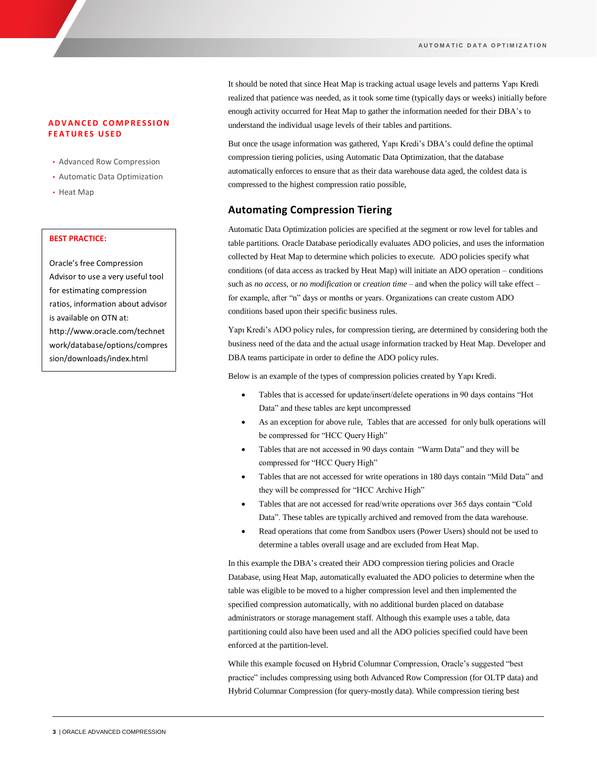### **A D V A N C E D C O M P R E S S I O N FEATURES USED**

- Advanced Row Compression
- Automatic Data Optimization
- Heat Map

### **BEST PRACTICE:**

Oracle's free Compression Advisor to use a very useful tool for estimating compression ratios, information about advisor is available on OTN at: http://www.oracle.com/technet work/database/options/compres sion/downloads/index.html

It should be noted that since Heat Map is tracking actual usage levels and patterns Yapı Kredi realized that patience was needed, as it took some time (typically days or weeks) initially before enough activity occurred for Heat Map to gather the information needed for their DBA's to understand the individual usage levels of their tables and partitions.

But once the usage information was gathered, Yapı Kredi's DBA's could define the optimal compression tiering policies, using Automatic Data Optimization, that the database automatically enforces to ensure that as their data warehouse data aged, the coldest data is compressed to the highest compression ratio possible,

# **Automating Compression Tiering**

Automatic Data Optimization policies are specified at the segment or row level for tables and table partitions. Oracle Database periodically evaluates ADO policies, and uses the information collected by Heat Map to determine which policies to execute. ADO policies specify what conditions (of data access as tracked by Heat Map) will initiate an ADO operation – conditions such as *no access*, or *no modification* or *creation time* – and when the policy will take effect – for example, after "n" days or months or years. Organizations can create custom ADO conditions based upon their specific business rules.

Yapı Kredi's ADO policy rules, for compression tiering, are determined by considering both the business need of the data and the actual usage information tracked by Heat Map. Developer and DBA teams participate in order to define the ADO policy rules.

Below is an example of the types of compression policies created by Yapı Kredi.

- Tables that is accessed for update/insert/delete operations in 90 days contains "Hot Data" and these tables are kept uncompressed
- As an exception for above rule, Tables that are accessed for only bulk operations will be compressed for "HCC Query High"
- Tables that are not accessed in 90 days contain "Warm Data" and they will be compressed for "HCC Query High"
- Tables that are not accessed for write operations in 180 days contain "Mild Data" and they will be compressed for "HCC Archive High"
- Tables that are not accessed for read/write operations over 365 days contain "Cold Data". These tables are typically archived and removed from the data warehouse.
- Read operations that come from Sandbox users (Power Users) should not be used to determine a tables overall usage and are excluded from Heat Map.

In this example the DBA's created their ADO compression tiering policies and Oracle Database, using Heat Map, automatically evaluated the ADO policies to determine when the table was eligible to be moved to a higher compression level and then implemented the specified compression automatically, with no additional burden placed on database administrators or storage management staff. Although this example uses a table, data partitioning could also have been used and all the ADO policies specified could have been enforced at the partition-level.

While this example focused on Hybrid Columnar Compression, Oracle's suggested "best practice" includes compressing using both Advanced Row Compression (for OLTP data) and Hybrid Columnar Compression (for query-mostly data). While compression tiering best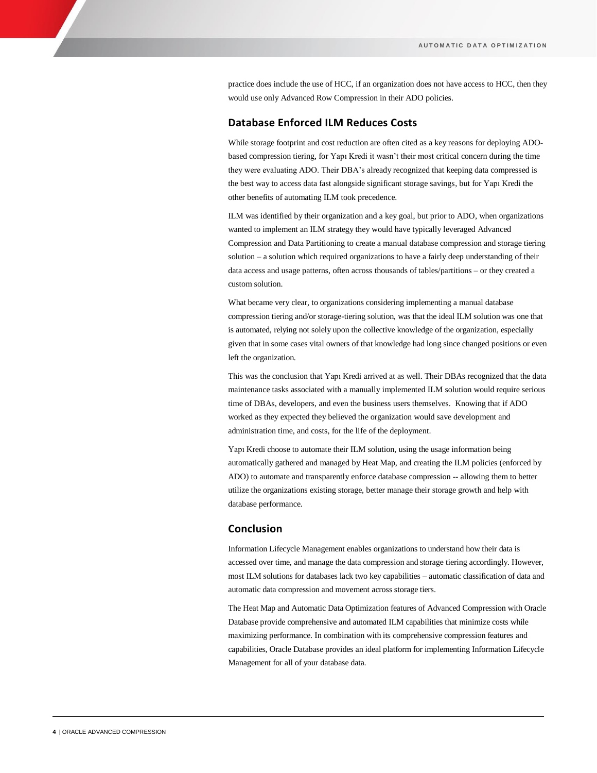practice does include the use of HCC, if an organization does not have access to HCC, then they would use only Advanced Row Compression in their ADO policies.

## **Database Enforced ILM Reduces Costs**

While storage footprint and cost reduction are often cited as a key reasons for deploying ADObased compression tiering, for Yapı Kredi it wasn't their most critical concern during the time they were evaluating ADO. Their DBA's already recognized that keeping data compressed is the best way to access data fast alongside significant storage savings, but for Yapı Kredi the other benefits of automating ILM took precedence.

ILM was identified by their organization and a key goal, but prior to ADO, when organizations wanted to implement an ILM strategy they would have typically leveraged Advanced Compression and Data Partitioning to create a manual database compression and storage tiering solution – a solution which required organizations to have a fairly deep understanding of their data access and usage patterns, often across thousands of tables/partitions – or they created a custom solution.

What became very clear, to organizations considering implementing a manual database compression tiering and/or storage-tiering solution, was that the ideal ILM solution was one that is automated, relying not solely upon the collective knowledge of the organization, especially given that in some cases vital owners of that knowledge had long since changed positions or even left the organization.

This was the conclusion that Yapı Kredi arrived at as well. Their DBAs recognized that the data maintenance tasks associated with a manually implemented ILM solution would require serious time of DBAs, developers, and even the business users themselves. Knowing that if ADO worked as they expected they believed the organization would save development and administration time, and costs, for the life of the deployment.

Yapı Kredi choose to automate their ILM solution, using the usage information being automatically gathered and managed by Heat Map, and creating the ILM policies (enforced by ADO) to automate and transparently enforce database compression -- allowing them to better utilize the organizations existing storage, better manage their storage growth and help with database performance.

### **Conclusion**

Information Lifecycle Management enables organizations to understand how their data is accessed over time, and manage the data compression and storage tiering accordingly. However, most ILM solutions for databases lack two key capabilities – automatic classification of data and automatic data compression and movement across storage tiers.

The Heat Map and Automatic Data Optimization features of Advanced Compression with Oracle Database provide comprehensive and automated ILM capabilities that minimize costs while maximizing performance. In combination with its comprehensive compression features and capabilities, Oracle Database provides an ideal platform for implementing Information Lifecycle Management for all of your database data.